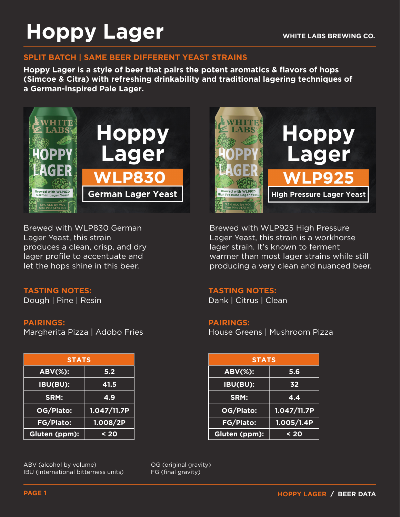# **Hoppy Lager**

#### **SPLIT BATCH | SAME BEER DIFFERENT YEAST STRAINS**

**Hoppy Lager is a style of beer that pairs the potent aromatics & flavors of hops (Simcoe & Citra) with refreshing drinkability and traditional lagering techniques of a German-inspired Pale Lager.** 



Brewed with WLP830 German Lager Yeast, this strain produces a clean, crisp, and dry lager profile to accentuate and let the hops shine in this beer.

#### **TASTING NOTES:**

Dough | Pine | Resin

#### **PAIRINGS:**

Margherita Pizza | Adobo Fries

| <b>STATS</b>     |             |
|------------------|-------------|
| <b>ABV(%):</b>   | 5.2         |
| IBU(BU):         | 41.5        |
| SRM:             | 4.9         |
| OG/Plato:        | 1.047/11.7P |
| <b>FG/Plato:</b> | 1.008/2P    |
| Gluten (ppm):    | $20$        |

ABV (alcohol by volume) IBU (international bitterness units) OG (original gravity) FG (final gravity)



Brewed with WLP925 High Pressure Lager Yeast, this strain is a workhorse lager strain. It's known to ferment warmer than most lager strains while still producing a very clean and nuanced beer.

#### **TASTING NOTES:**

Dank | Citrus | Clean

#### **PAIRINGS:**

House Greens | Mushroom Pizza

| <b>STATS</b> |             | <b>STATS</b>   |             |
|--------------|-------------|----------------|-------------|
| t,           | 5.2         | <b>ABV(%):</b> | 5.6         |
| H            | 41.5        | IBU(BU):       | 32          |
|              | 4.9         | SRM:           | 4.4         |
| :כ           | 1.047/11.7P | OG/Plato:      | 1.047/11.7P |
| $\mathbf{S}$ | 1.008/2P    | FG/Plato:      | 1.005/1.4P  |
| $m$ ):       | $20$        | Gluten (ppm):  | $20$        |